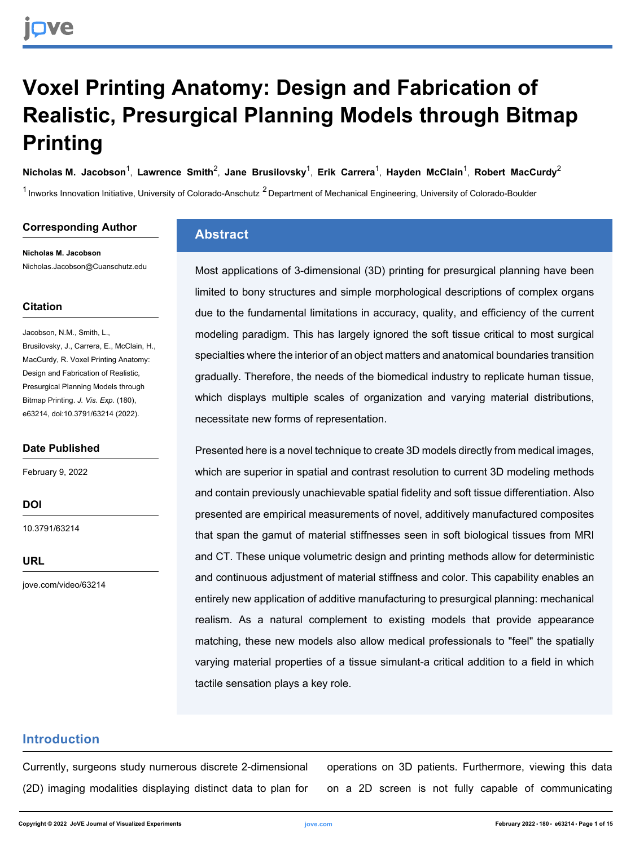# **Voxel Printing Anatomy: Design and Fabrication of Realistic, Presurgical Planning Models through Bitmap Printing**

 $N$ icholas M. Jacobson $^1$ , [Lawrence Smith](https://www.jove.com/author/Lawrence_Smith) $^2$ , [Jane Brusilovsky](https://www.jove.com/author/Jane_Brusilovsky) $^1$ , [Erik Carrera](https://www.jove.com/author/Erik_Carrera) $^1$ , [Hayden McClain](https://www.jove.com/author/Hayden_McClain) $^1$ , [Robert MacCurdy](https://www.jove.com/author/Robert_MacCurdy) $^2$ 

<sup>1</sup> Inworks Innovation Initiative, University of Colorado-Anschutz <sup>2</sup> Department of Mechanical Engineering, University of Colorado-Boulder

#### **Corresponding Author**

**Nicholas M. Jacobson** Nicholas.Jacobson@Cuanschutz.edu

#### **Citation**

Jacobson, N.M., Smith, L., Brusilovsky, J., Carrera, E., McClain, H., MacCurdy, R. Voxel Printing Anatomy: Design and Fabrication of Realistic, Presurgical Planning Models through Bitmap Printing. *J. Vis. Exp.* (180), e63214, doi:10.3791/63214 (2022).

#### **Date Published**

February 9, 2022

**DOI**

[10.3791/63214](http://dx.doi.org/10.3791/63214)

**URL**

[jove.com/video/63214](https://www.jove.com/video/63214)

## **Abstract**

Most applications of 3-dimensional (3D) printing for presurgical planning have been limited to bony structures and simple morphological descriptions of complex organs due to the fundamental limitations in accuracy, quality, and efficiency of the current modeling paradigm. This has largely ignored the soft tissue critical to most surgical specialties where the interior of an object matters and anatomical boundaries transition gradually. Therefore, the needs of the biomedical industry to replicate human tissue, which displays multiple scales of organization and varying material distributions, necessitate new forms of representation.

Presented here is a novel technique to create 3D models directly from medical images, which are superior in spatial and contrast resolution to current 3D modeling methods and contain previously unachievable spatial fidelity and soft tissue differentiation. Also presented are empirical measurements of novel, additively manufactured composites that span the gamut of material stiffnesses seen in soft biological tissues from MRI and CT. These unique volumetric design and printing methods allow for deterministic and continuous adjustment of material stiffness and color. This capability enables an entirely new application of additive manufacturing to presurgical planning: mechanical realism. As a natural complement to existing models that provide appearance matching, these new models also allow medical professionals to "feel" the spatially varying material properties of a tissue simulant-a critical addition to a field in which tactile sensation plays a key role.

### **Introduction**

Currently, surgeons study numerous discrete 2-dimensional (2D) imaging modalities displaying distinct data to plan for operations on 3D patients. Furthermore, viewing this data on a 2D screen is not fully capable of communicating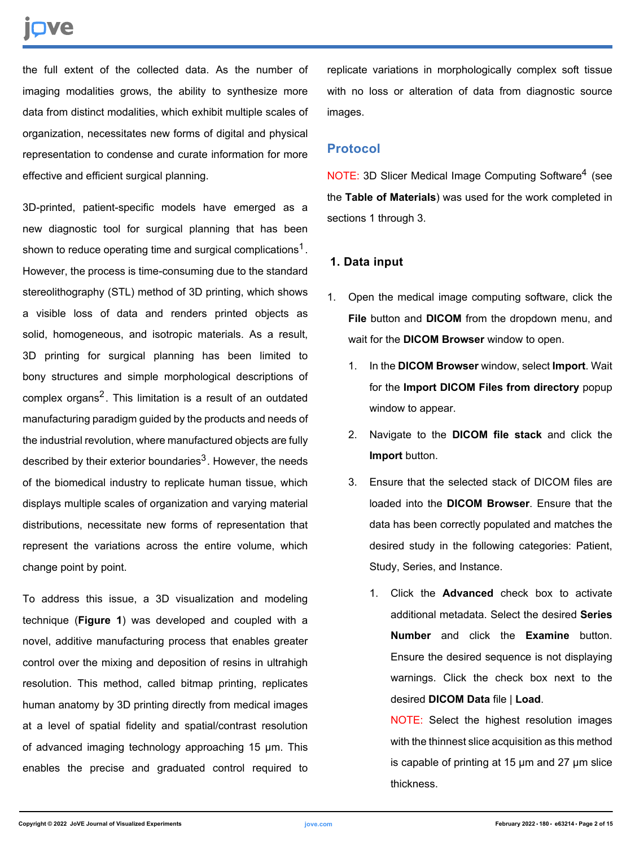# nve

the full extent of the collected data. As the number of imaging modalities grows, the ability to synthesize more data from distinct modalities, which exhibit multiple scales of organization, necessitates new forms of digital and physical representation to condense and curate information for more effective and efficient surgical planning.

3D-printed, patient-specific models have emerged as a new diagnostic tool for surgical planning that has been shown to reduce operating time and surgical complications<sup>1</sup>. However, the process is time-consuming due to the standard stereolithography (STL) method of 3D printing, which shows a visible loss of data and renders printed objects as solid, homogeneous, and isotropic materials. As a result, 3D printing for surgical planning has been limited to bony structures and simple morphological descriptions of complex organs<sup>2</sup>. This limitation is a result of an outdated manufacturing paradigm guided by the products and needs of the industrial revolution, where manufactured objects are fully described by their exterior boundaries<sup>3</sup>. However, the needs of the biomedical industry to replicate human tissue, which displays multiple scales of organization and varying material distributions, necessitate new forms of representation that represent the variations across the entire volume, which change point by point.

To address this issue, a 3D visualization and modeling technique (**Figure 1**) was developed and coupled with a novel, additive manufacturing process that enables greater control over the mixing and deposition of resins in ultrahigh resolution. This method, called bitmap printing, replicates human anatomy by 3D printing directly from medical images at a level of spatial fidelity and spatial/contrast resolution of advanced imaging technology approaching 15 µm. This enables the precise and graduated control required to replicate variations in morphologically complex soft tissue with no loss or alteration of data from diagnostic source images.

#### **Protocol**

NOTE: 3D Slicer Medical Image Computing Software<sup>4</sup> (see the **Table of Materials**) was used for the work completed in sections 1 through 3.

### **1. Data input**

- 1. Open the medical image computing software, click the **File** button and **DICOM** from the dropdown menu, and wait for the **DICOM Browser** window to open.
	- 1. In the **DICOM Browser** window, select **Import**. Wait for the **Import DICOM Files from directory** popup window to appear.
	- 2. Navigate to the **DICOM file stack** and click the **Import** button.
	- 3. Ensure that the selected stack of DICOM files are loaded into the **DICOM Browser**. Ensure that the data has been correctly populated and matches the desired study in the following categories: Patient, Study, Series, and Instance.
		- 1. Click the **Advanced** check box to activate additional metadata. Select the desired **Series Number** and click the **Examine** button. Ensure the desired sequence is not displaying warnings. Click the check box next to the desired **DICOM Data** file | **Load**.

NOTE: Select the highest resolution images with the thinnest slice acquisition as this method is capable of printing at 15 µm and 27 µm slice thickness.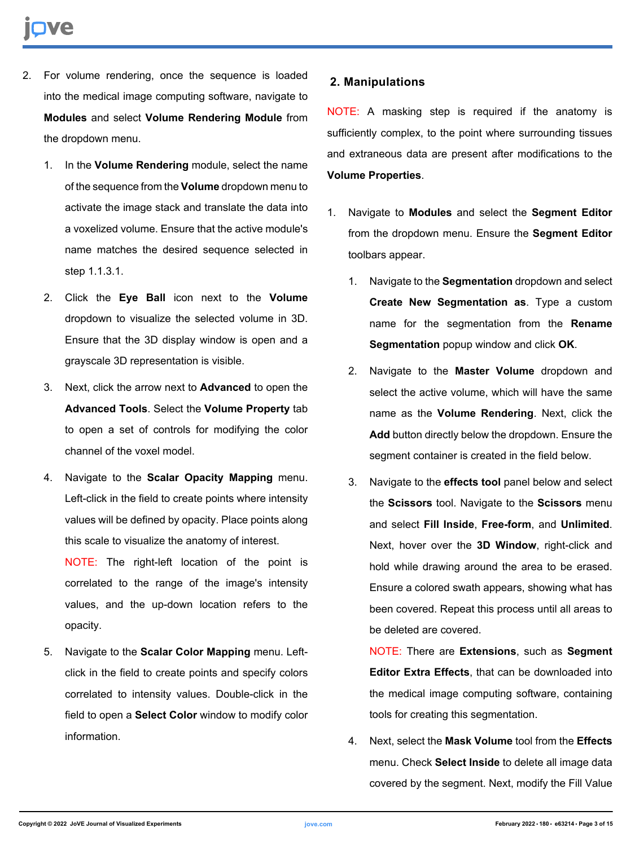- 2. For volume rendering, once the sequence is loaded into the medical image computing software, navigate to **Modules** and select **Volume Rendering Module** from the dropdown menu.
	- 1. In the **Volume Rendering** module, select the name of the sequence from the **Volume** dropdown menu to activate the image stack and translate the data into a voxelized volume. Ensure that the active module's name matches the desired sequence selected in step 1.1.3.1.
	- 2. Click the **Eye Ball** icon next to the **Volume** dropdown to visualize the selected volume in 3D. Ensure that the 3D display window is open and a grayscale 3D representation is visible.
	- 3. Next, click the arrow next to **Advanced** to open the **Advanced Tools**. Select the **Volume Property** tab to open a set of controls for modifying the color channel of the voxel model.
	- 4. Navigate to the **Scalar Opacity Mapping** menu. Left-click in the field to create points where intensity values will be defined by opacity. Place points along this scale to visualize the anatomy of interest.

NOTE: The right-left location of the point is correlated to the range of the image's intensity values, and the up-down location refers to the opacity.

5. Navigate to the **Scalar Color Mapping** menu. Leftclick in the field to create points and specify colors correlated to intensity values. Double-click in the field to open a **Select Color** window to modify color information.

## **2. Manipulations**

NOTE: A masking step is required if the anatomy is sufficiently complex, to the point where surrounding tissues and extraneous data are present after modifications to the **Volume Properties**.

- 1. Navigate to **Modules** and select the **Segment Editor** from the dropdown menu. Ensure the **Segment Editor** toolbars appear.
	- 1. Navigate to the **Segmentation** dropdown and select **Create New Segmentation as**. Type a custom name for the segmentation from the **Rename Segmentation** popup window and click **OK**.
	- 2. Navigate to the **Master Volume** dropdown and select the active volume, which will have the same name as the **Volume Rendering**. Next, click the **Add** button directly below the dropdown. Ensure the segment container is created in the field below.
	- 3. Navigate to the **effects tool** panel below and select the **Scissors** tool. Navigate to the **Scissors** menu and select **Fill Inside**, **Free-form**, and **Unlimited**. Next, hover over the **3D Window**, right-click and hold while drawing around the area to be erased. Ensure a colored swath appears, showing what has been covered. Repeat this process until all areas to be deleted are covered.

NOTE: There are **Extensions**, such as **Segment Editor Extra Effects**, that can be downloaded into the medical image computing software, containing tools for creating this segmentation.

4. Next, select the **Mask Volume** tool from the **Effects** menu. Check **Select Inside** to delete all image data covered by the segment. Next, modify the Fill Value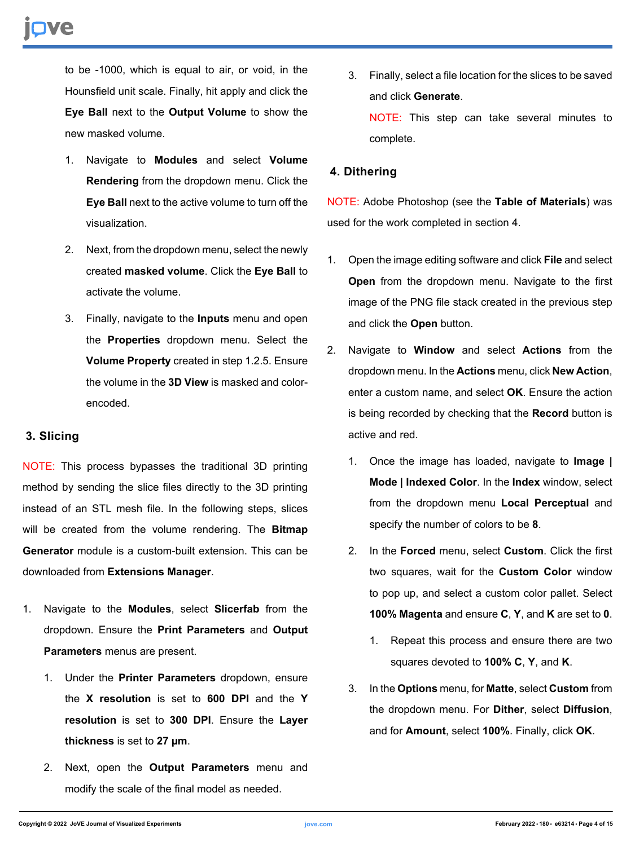to be -1000, which is equal to air, or void, in the Hounsfield unit scale. Finally, hit apply and click the **Eye Ball** next to the **Output Volume** to show the new masked volume.

- 1. Navigate to **Modules** and select **Volume Rendering** from the dropdown menu. Click the **Eye Ball** next to the active volume to turn off the visualization.
- 2. Next, from the dropdown menu, select the newly created **masked volume**. Click the **Eye Ball** to activate the volume.
- 3. Finally, navigate to the **Inputs** menu and open the **Properties** dropdown menu. Select the **Volume Property** created in step 1.2.5. Ensure the volume in the **3D View** is masked and colorencoded.

### **3. Slicing**

NOTE: This process bypasses the traditional 3D printing method by sending the slice files directly to the 3D printing instead of an STL mesh file. In the following steps, slices will be created from the volume rendering. The **Bitmap Generator** module is a custom-built extension. This can be downloaded from **Extensions Manager**.

- 1. Navigate to the **Modules**, select **Slicerfab** from the dropdown. Ensure the **Print Parameters** and **Output Parameters** menus are present.
	- 1. Under the **Printer Parameters** dropdown, ensure the **X resolution** is set to **600 DPI** and the **Y resolution** is set to **300 DPI**. Ensure the **Layer thickness** is set to **27 µm**.
	- 2. Next, open the **Output Parameters** menu and modify the scale of the final model as needed.

3. Finally, select a file location for the slices to be saved and click **Generate**. NOTE: This step can take several minutes to complete.

#### **4. Dithering**

NOTE: Adobe Photoshop (see the **Table of Materials**) was used for the work completed in section 4.

- 1. Open the image editing software and click **File** and select **Open** from the dropdown menu. Navigate to the first image of the PNG file stack created in the previous step and click the **Open** button.
- 2. Navigate to **Window** and select **Actions** from the dropdown menu. In the **Actions** menu, click **New Action**, enter a custom name, and select **OK**. Ensure the action is being recorded by checking that the **Record** button is active and red.
	- 1. Once the image has loaded, navigate to **Image | Mode | Indexed Color**. In the **Index** window, select from the dropdown menu **Local Perceptual** and specify the number of colors to be **8**.
	- 2. In the **Forced** menu, select **Custom**. Click the first two squares, wait for the **Custom Color** window to pop up, and select a custom color pallet. Select **100% Magenta** and ensure **C**, **Y**, and **K** are set to **0**.
		- 1. Repeat this process and ensure there are two squares devoted to **100% C**, **Y**, and **K**.
	- 3. In the **Options** menu, for **Matte**, select **Custom** from the dropdown menu. For **Dither**, select **Diffusion**, and for **Amount**, select **100%**. Finally, click **OK**.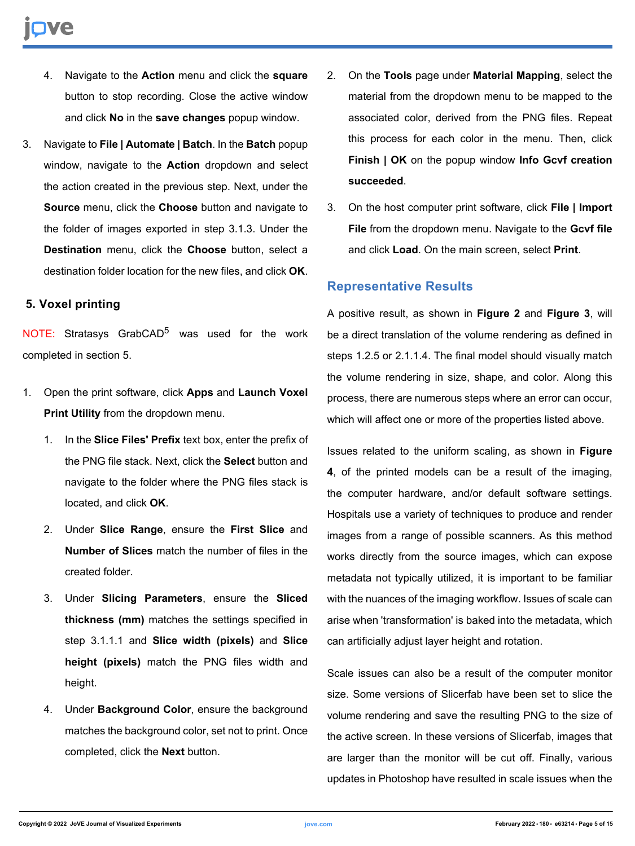- 4. Navigate to the **Action** menu and click the **square** button to stop recording. Close the active window and click **No** in the **save changes** popup window.
- 3. Navigate to **File | Automate | Batch**. In the **Batch** popup window, navigate to the **Action** dropdown and select the action created in the previous step. Next, under the **Source** menu, click the **Choose** button and navigate to the folder of images exported in step 3.1.3. Under the **Destination** menu, click the **Choose** button, select a destination folder location for the new files, and click **OK**.

#### **5. Voxel printing**

NOTE: Stratasys GrabCAD<sup>5</sup> was used for the work completed in section 5.

- 1. Open the print software, click **Apps** and **Launch Voxel Print Utility** from the dropdown menu.
	- 1. In the **Slice Files' Prefix** text box, enter the prefix of the PNG file stack. Next, click the **Select** button and navigate to the folder where the PNG files stack is located, and click **OK**.
	- 2. Under **Slice Range**, ensure the **First Slice** and **Number of Slices** match the number of files in the created folder.
	- 3. Under **Slicing Parameters**, ensure the **Sliced thickness (mm)** matches the settings specified in step 3.1.1.1 and **Slice width (pixels)** and **Slice height (pixels)** match the PNG files width and height.
	- 4. Under **Background Color**, ensure the background matches the background color, set not to print. Once completed, click the **Next** button.
- 2. On the **Tools** page under **Material Mapping**, select the material from the dropdown menu to be mapped to the associated color, derived from the PNG files. Repeat this process for each color in the menu. Then, click **Finish | OK** on the popup window **Info Gcvf creation succeeded**.
- 3. On the host computer print software, click **File | Import File** from the dropdown menu. Navigate to the **Gcvf file** and click **Load**. On the main screen, select **Print**.

#### **Representative Results**

A positive result, as shown in **Figure 2** and **Figure 3**, will be a direct translation of the volume rendering as defined in steps 1.2.5 or 2.1.1.4. The final model should visually match the volume rendering in size, shape, and color. Along this process, there are numerous steps where an error can occur, which will affect one or more of the properties listed above.

Issues related to the uniform scaling, as shown in **Figure 4**, of the printed models can be a result of the imaging, the computer hardware, and/or default software settings. Hospitals use a variety of techniques to produce and render images from a range of possible scanners. As this method works directly from the source images, which can expose metadata not typically utilized, it is important to be familiar with the nuances of the imaging workflow. Issues of scale can arise when 'transformation' is baked into the metadata, which can artificially adjust layer height and rotation.

Scale issues can also be a result of the computer monitor size. Some versions of Slicerfab have been set to slice the volume rendering and save the resulting PNG to the size of the active screen. In these versions of Slicerfab, images that are larger than the monitor will be cut off. Finally, various updates in Photoshop have resulted in scale issues when the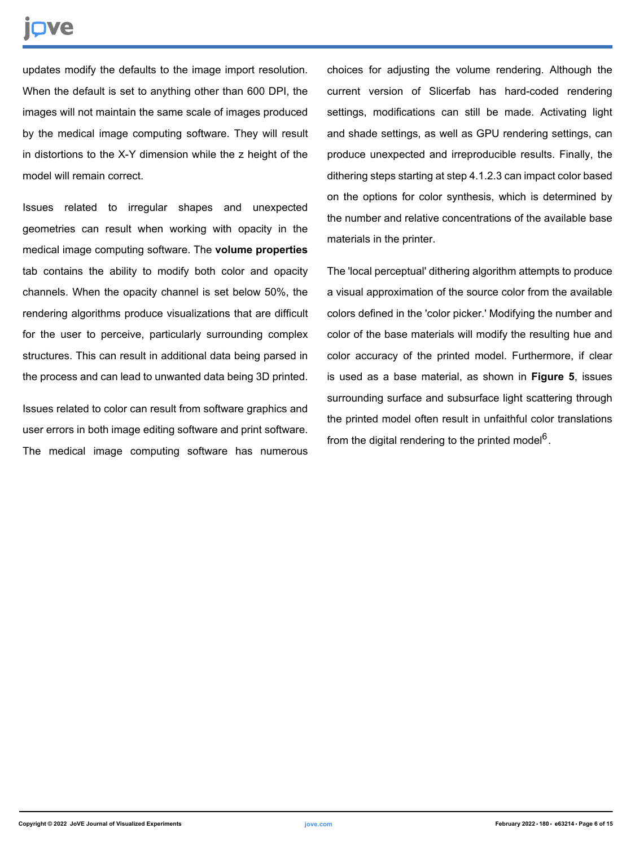updates modify the defaults to the image import resolution. When the default is set to anything other than 600 DPI, the images will not maintain the same scale of images produced by the medical image computing software. They will result in distortions to the X-Y dimension while the z height of the model will remain correct.

Issues related to irregular shapes and unexpected geometries can result when working with opacity in the medical image computing software. The **volume properties** tab contains the ability to modify both color and opacity channels. When the opacity channel is set below 50%, the rendering algorithms produce visualizations that are difficult for the user to perceive, particularly surrounding complex structures. This can result in additional data being parsed in the process and can lead to unwanted data being 3D printed.

Issues related to color can result from software graphics and user errors in both image editing software and print software. The medical image computing software has numerous

choices for adjusting the volume rendering. Although the current version of Slicerfab has hard-coded rendering settings, modifications can still be made. Activating light and shade settings, as well as GPU rendering settings, can produce unexpected and irreproducible results. Finally, the dithering steps starting at step 4.1.2.3 can impact color based on the options for color synthesis, which is determined by the number and relative concentrations of the available base materials in the printer.

The 'local perceptual' dithering algorithm attempts to produce a visual approximation of the source color from the available colors defined in the 'color picker.' Modifying the number and color of the base materials will modify the resulting hue and color accuracy of the printed model. Furthermore, if clear is used as a base material, as shown in **Figure 5**, issues surrounding surface and subsurface light scattering through the printed model often result in unfaithful color translations from the digital rendering to the printed model<sup>6</sup>.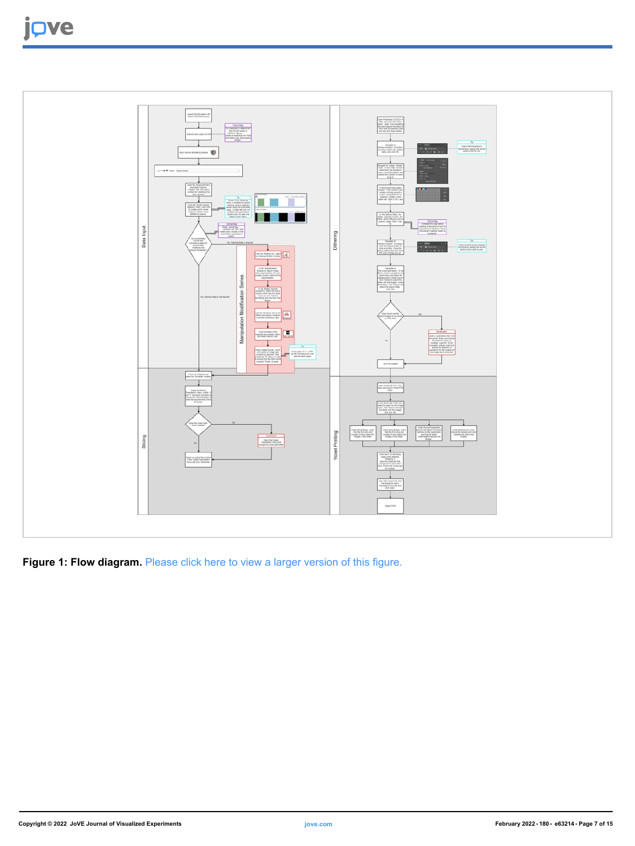

**Figure 1: Flow diagram.** [Please click here to view a larger version of this figure.](https://www.jove.com/files/ftp_upload/63214/63214fig01large.jpg)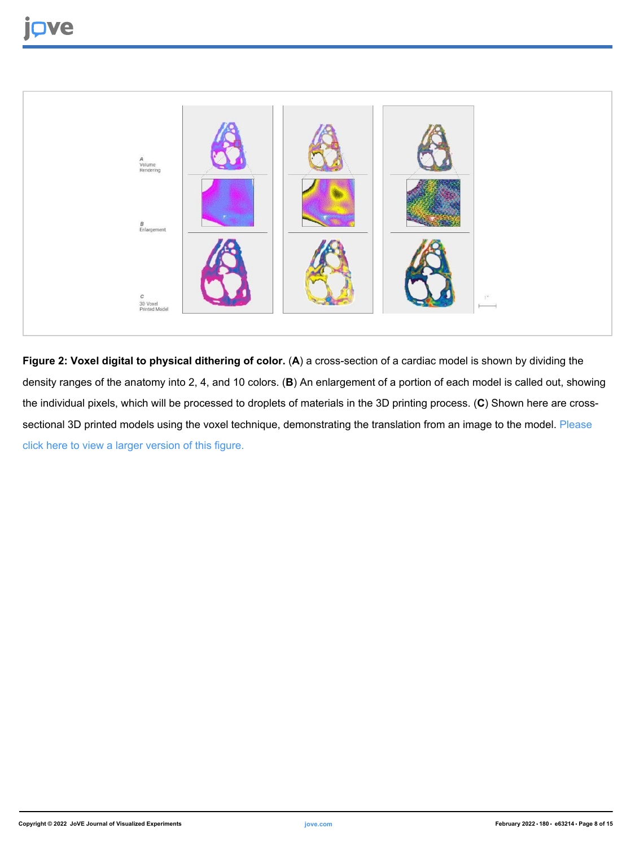![](_page_7_Picture_1.jpeg)

**Figure 2: Voxel digital to physical dithering of color. (A) a cross-section of a cardiac model is shown by dividing the** density ranges of the anatomy into 2, 4, and 10 colors. (**B**) An enlargement of a portion of each model is called out, showing the individual pixels, which will be processed to droplets of materials in the 3D printing process. (**C**) Shown here are cross-sectional 3D printed models using the voxel technique, demonstrating the translation from an image to the model. [Please](https://www.jove.com/files/ftp_upload/63214/63214fig02large.jpg) [click here to view a larger version of this figure.](https://www.jove.com/files/ftp_upload/63214/63214fig02large.jpg)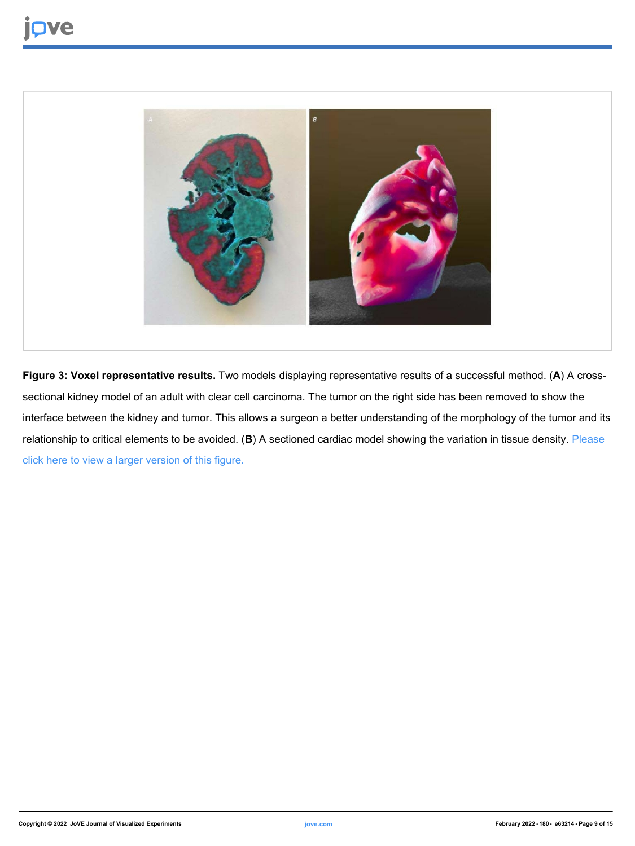![](_page_8_Picture_1.jpeg)

**Figure 3: Voxel representative results.** Two models displaying representative results of a successful method. (**A**) A crosssectional kidney model of an adult with clear cell carcinoma. The tumor on the right side has been removed to show the interface between the kidney and tumor. This allows a surgeon a better understanding of the morphology of the tumor and its relationship to critical elements to be avoided. (**B**) A sectioned cardiac model showing the variation in tissue density. [Please](https://www.jove.com/files/ftp_upload/63214/63214fig03large.jpg) [click here to view a larger version of this figure.](https://www.jove.com/files/ftp_upload/63214/63214fig03large.jpg)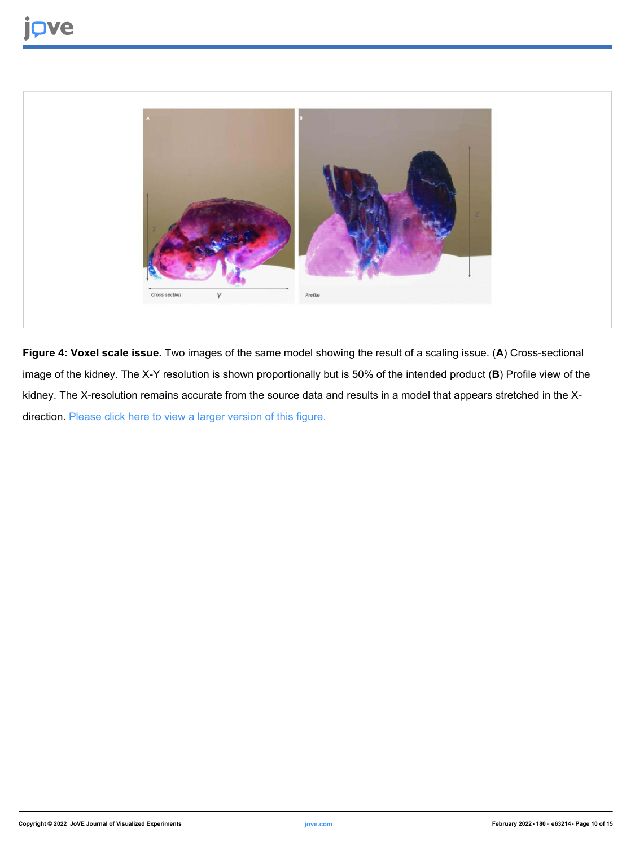![](_page_9_Picture_1.jpeg)

**Figure 4: Voxel scale issue.** Two images of the same model showing the result of a scaling issue. (**A**) Cross-sectional image of the kidney. The X-Y resolution is shown proportionally but is 50% of the intended product (**B**) Profile view of the kidney. The X-resolution remains accurate from the source data and results in a model that appears stretched in the X-direction. [Please click here to view a larger version of this figure.](https://www.jove.com/files/ftp_upload/63214/63214fig04large.jpg)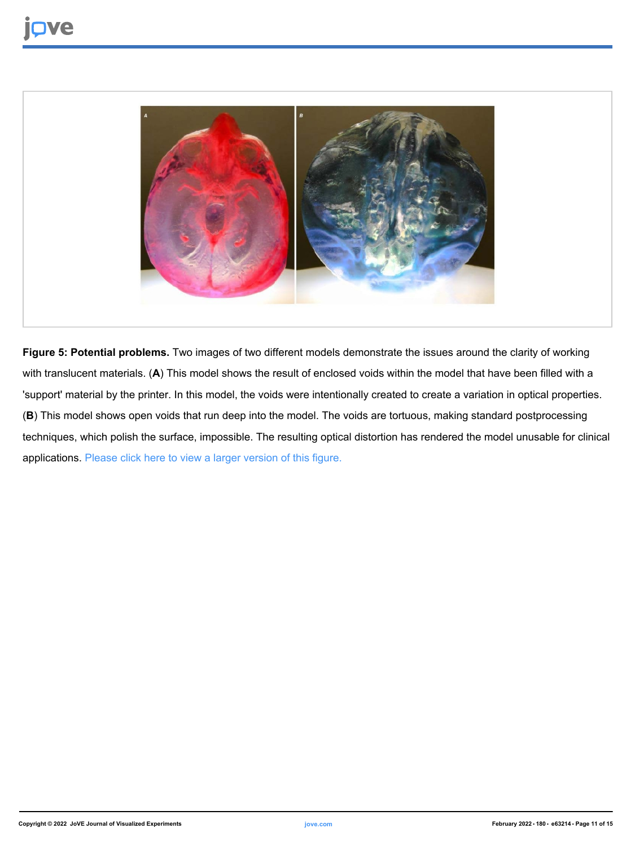![](_page_10_Picture_1.jpeg)

**Figure 5: Potential problems.** Two images of two different models demonstrate the issues around the clarity of working with translucent materials. (**A**) This model shows the result of enclosed voids within the model that have been filled with a 'support' material by the printer. In this model, the voids were intentionally created to create a variation in optical properties. (**B**) This model shows open voids that run deep into the model. The voids are tortuous, making standard postprocessing techniques, which polish the surface, impossible. The resulting optical distortion has rendered the model unusable for clinical applications. [Please click here to view a larger version of this figure.](https://www.jove.com/files/ftp_upload/63214/63214fig05large.jpg)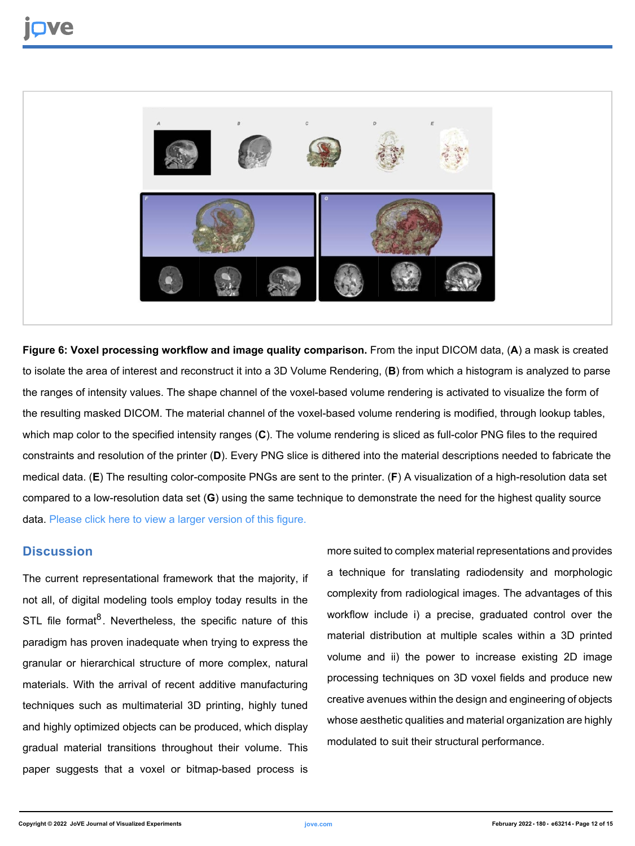![](_page_11_Picture_1.jpeg)

**Figure 6: Voxel processing workflow and image quality comparison.** From the input DICOM data, (**A**) a mask is created to isolate the area of interest and reconstruct it into a 3D Volume Rendering, (**B**) from which a histogram is analyzed to parse the ranges of intensity values. The shape channel of the voxel-based volume rendering is activated to visualize the form of the resulting masked DICOM. The material channel of the voxel-based volume rendering is modified, through lookup tables, which map color to the specified intensity ranges (**C**). The volume rendering is sliced as full-color PNG files to the required constraints and resolution of the printer (**D**). Every PNG slice is dithered into the material descriptions needed to fabricate the medical data. (**E**) The resulting color-composite PNGs are sent to the printer. (**F**) A visualization of a high-resolution data set compared to a low-resolution data set (**G**) using the same technique to demonstrate the need for the highest quality source data. [Please click here to view a larger version of this figure.](https://www.jove.com/files/ftp_upload/63214/63214fig06large.jpg)

### **Discussion**

The current representational framework that the majority, if not all, of digital modeling tools employ today results in the STL file format<sup>8</sup>. Nevertheless, the specific nature of this paradigm has proven inadequate when trying to express the granular or hierarchical structure of more complex, natural materials. With the arrival of recent additive manufacturing techniques such as multimaterial 3D printing, highly tuned and highly optimized objects can be produced, which display gradual material transitions throughout their volume. This paper suggests that a voxel or bitmap-based process is

more suited to complex material representations and provides a technique for translating radiodensity and morphologic complexity from radiological images. The advantages of this workflow include i) a precise, graduated control over the material distribution at multiple scales within a 3D printed volume and ii) the power to increase existing 2D image processing techniques on 3D voxel fields and produce new creative avenues within the design and engineering of objects whose aesthetic qualities and material organization are highly modulated to suit their structural performance.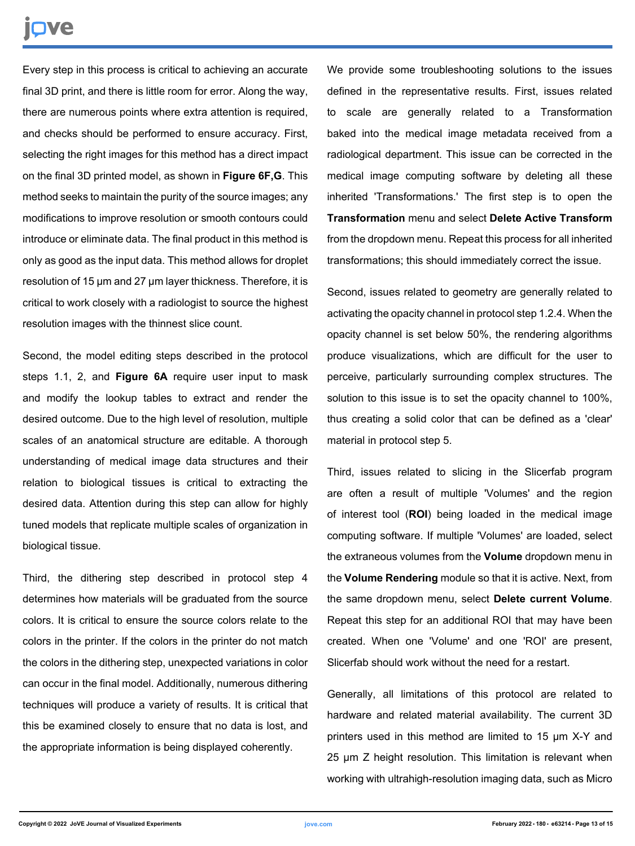# nve

Every step in this process is critical to achieving an accurate final 3D print, and there is little room for error. Along the way, there are numerous points where extra attention is required, and checks should be performed to ensure accuracy. First, selecting the right images for this method has a direct impact on the final 3D printed model, as shown in **Figure 6F,G**. This method seeks to maintain the purity of the source images; any modifications to improve resolution or smooth contours could introduce or eliminate data. The final product in this method is only as good as the input data. This method allows for droplet resolution of 15 µm and 27 µm layer thickness. Therefore, it is critical to work closely with a radiologist to source the highest resolution images with the thinnest slice count.

Second, the model editing steps described in the protocol steps 1.1, 2, and **Figure 6A** require user input to mask and modify the lookup tables to extract and render the desired outcome. Due to the high level of resolution, multiple scales of an anatomical structure are editable. A thorough understanding of medical image data structures and their relation to biological tissues is critical to extracting the desired data. Attention during this step can allow for highly tuned models that replicate multiple scales of organization in biological tissue.

Third, the dithering step described in protocol step 4 determines how materials will be graduated from the source colors. It is critical to ensure the source colors relate to the colors in the printer. If the colors in the printer do not match the colors in the dithering step, unexpected variations in color can occur in the final model. Additionally, numerous dithering techniques will produce a variety of results. It is critical that this be examined closely to ensure that no data is lost, and the appropriate information is being displayed coherently.

We provide some troubleshooting solutions to the issues defined in the representative results. First, issues related to scale are generally related to a Transformation baked into the medical image metadata received from a radiological department. This issue can be corrected in the medical image computing software by deleting all these inherited 'Transformations.' The first step is to open the **Transformation** menu and select **Delete Active Transform** from the dropdown menu. Repeat this process for all inherited transformations; this should immediately correct the issue.

Second, issues related to geometry are generally related to activating the opacity channel in protocol step 1.2.4. When the opacity channel is set below 50%, the rendering algorithms produce visualizations, which are difficult for the user to perceive, particularly surrounding complex structures. The solution to this issue is to set the opacity channel to 100%, thus creating a solid color that can be defined as a 'clear' material in protocol step 5.

Third, issues related to slicing in the Slicerfab program are often a result of multiple 'Volumes' and the region of interest tool (**ROI**) being loaded in the medical image computing software. If multiple 'Volumes' are loaded, select the extraneous volumes from the **Volume** dropdown menu in the **Volume Rendering** module so that it is active. Next, from the same dropdown menu, select **Delete current Volume**. Repeat this step for an additional ROI that may have been created. When one 'Volume' and one 'ROI' are present, Slicerfab should work without the need for a restart.

Generally, all limitations of this protocol are related to hardware and related material availability. The current 3D printers used in this method are limited to 15 µm X-Y and 25 µm Z height resolution. This limitation is relevant when working with ultrahigh-resolution imaging data, such as Micro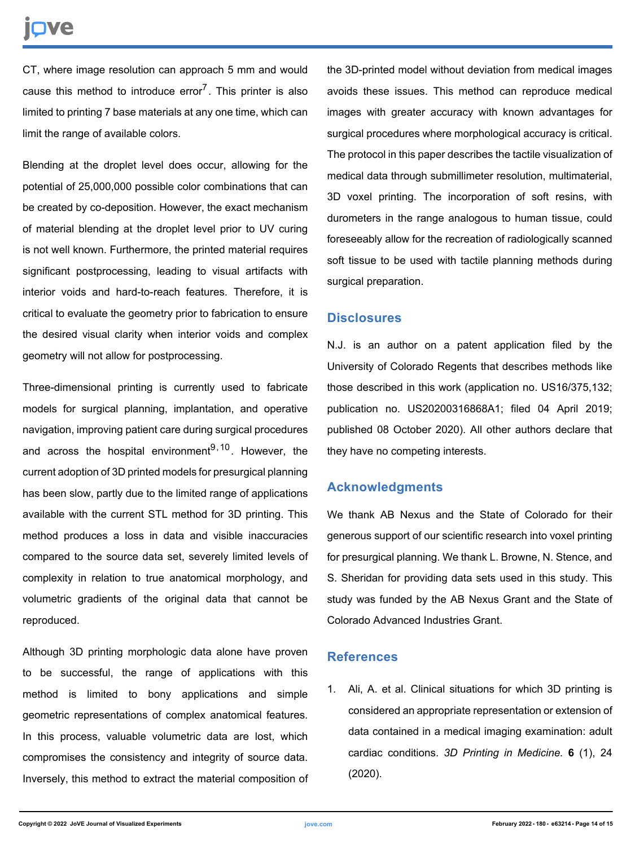# nve

CT, where image resolution can approach 5 mm and would cause this method to introduce error<sup>7</sup>. This printer is also limited to printing 7 base materials at any one time, which can limit the range of available colors.

Blending at the droplet level does occur, allowing for the potential of 25,000,000 possible color combinations that can be created by co-deposition. However, the exact mechanism of material blending at the droplet level prior to UV curing is not well known. Furthermore, the printed material requires significant postprocessing, leading to visual artifacts with interior voids and hard-to-reach features. Therefore, it is critical to evaluate the geometry prior to fabrication to ensure the desired visual clarity when interior voids and complex geometry will not allow for postprocessing.

Three-dimensional printing is currently used to fabricate models for surgical planning, implantation, and operative navigation, improving patient care during surgical procedures and across the hospital environment<sup>9,10</sup>. However, the current adoption of 3D printed models for presurgical planning has been slow, partly due to the limited range of applications available with the current STL method for 3D printing. This method produces a loss in data and visible inaccuracies compared to the source data set, severely limited levels of complexity in relation to true anatomical morphology, and volumetric gradients of the original data that cannot be reproduced.

Although 3D printing morphologic data alone have proven to be successful, the range of applications with this method is limited to bony applications and simple geometric representations of complex anatomical features. In this process, valuable volumetric data are lost, which compromises the consistency and integrity of source data. Inversely, this method to extract the material composition of the 3D-printed model without deviation from medical images avoids these issues. This method can reproduce medical images with greater accuracy with known advantages for surgical procedures where morphological accuracy is critical. The protocol in this paper describes the tactile visualization of medical data through submillimeter resolution, multimaterial, 3D voxel printing. The incorporation of soft resins, with durometers in the range analogous to human tissue, could foreseeably allow for the recreation of radiologically scanned soft tissue to be used with tactile planning methods during surgical preparation.

#### **Disclosures**

N.J. is an author on a patent application filed by the University of Colorado Regents that describes methods like those described in this work (application no. US16/375,132; publication no. US20200316868A1; filed 04 April 2019; published 08 October 2020). All other authors declare that they have no competing interests.

## **Acknowledgments**

We thank AB Nexus and the State of Colorado for their generous support of our scientific research into voxel printing for presurgical planning. We thank L. Browne, N. Stence, and S. Sheridan for providing data sets used in this study. This study was funded by the AB Nexus Grant and the State of Colorado Advanced Industries Grant.

### **References**

1. Ali, A. et al. Clinical situations for which 3D printing is considered an appropriate representation or extension of data contained in a medical imaging examination: adult cardiac conditions. *3D Printing in Medicine.* **6** (1), 24 (2020).